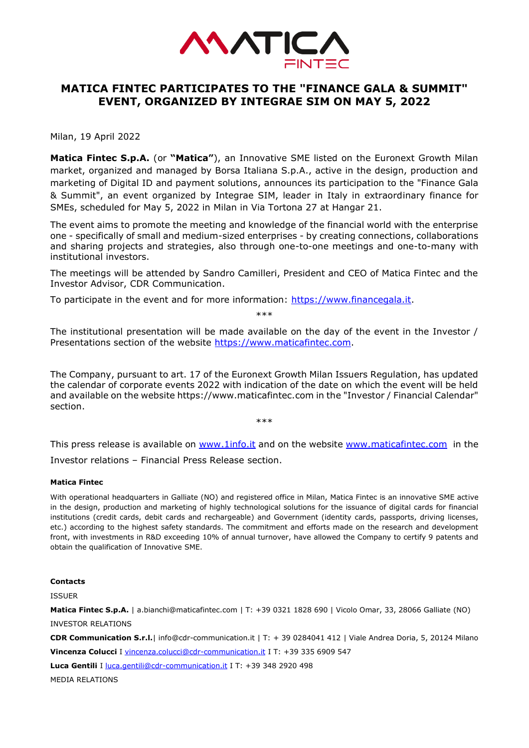

## **MATICA FINTEC PARTICIPATES TO THE "FINANCE GALA & SUMMIT" EVENT, ORGANIZED BY INTEGRAE SIM ON MAY 5, 2022**

Milan, 19 April 2022

**Matica Fintec S.p.A.** (or **"Matica"**), an Innovative SME listed on the Euronext Growth Milan market, organized and managed by Borsa Italiana S.p.A., active in the design, production and marketing of Digital ID and payment solutions, announces its participation to the "Finance Gala & Summit", an event organized by Integrae SIM, leader in Italy in extraordinary finance for SMEs, scheduled for May 5, 2022 in Milan in Via Tortona 27 at Hangar 21.

The event aims to promote the meeting and knowledge of the financial world with the enterprise one - specifically of small and medium-sized enterprises - by creating connections, collaborations and sharing projects and strategies, also through one-to-one meetings and one-to-many with institutional investors.

The meetings will be attended by Sandro Camilleri, President and CEO of Matica Fintec and the Investor Advisor, CDR Communication.

To participate in the event and for more information: [https://www.financegala.it.](https://www.financegala.it/)

\*\*\*

The institutional presentation will be made available on the day of the event in the Investor / Presentations section of the website [https://www.maticafintec.com.](https://www.maticafintec.com/)

The Company, pursuant to art. 17 of the Euronext Growth Milan Issuers Regulation, has updated the calendar of corporate events 2022 with indication of the date on which the event will be held and available on the website https://www.maticafintec.com in the "Investor / Financial Calendar" section.

\*\*\*

This press release is available on [www.1info.it](http://www.1info.it/) and on the website [www.maticafintec.com](http://www.maticafintec.com/) in the Investor relations – Financial Press Release section.

## **Matica Fintec**

With operational headquarters in Galliate (NO) and registered office in Milan, Matica Fintec is an innovative SME active in the design, production and marketing of highly technological solutions for the issuance of digital cards for financial institutions (credit cards, debit cards and rechargeable) and Government (identity cards, passports, driving licenses, etc.) according to the highest safety standards. The commitment and efforts made on the research and development front, with investments in R&D exceeding 10% of annual turnover, have allowed the Company to certify 9 patents and obtain the qualification of Innovative SME.

## **Contacts**

ISSUER

**Matica Fintec S.p.A.** | a.bianchi@maticafintec.com | T: +39 0321 1828 690 | Vicolo Omar, 33, 28066 Galliate (NO) INVESTOR RELATIONS

**CDR Communication S.r.l.**| info@cdr-communication.it | T: + 39 0284041 412 | Viale Andrea Doria, 5, 20124 Milano **Vincenza Colucci** I [vincenza.colucci@cdr-communication.it](mailto:vincenza.colucci@cdr-communication.it) I T: +39 335 6909 547

Luca Gentili I [luca.gentili@cdr-communication.it](mailto:luca.gentili@cdr-communication.it) I T: +39 348 2920 498

MEDIA RELATIONS